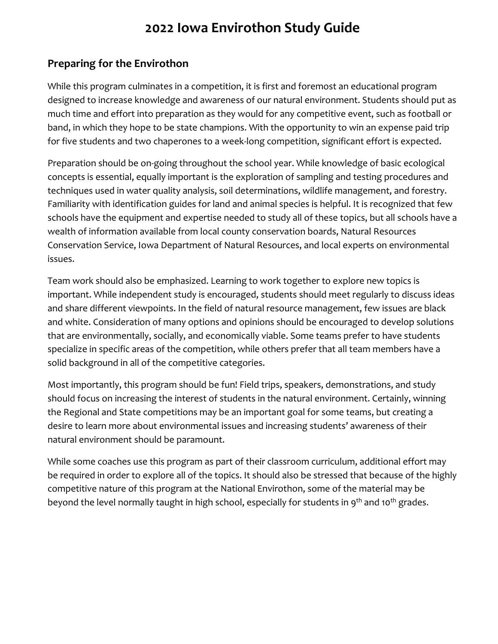# **2022 Iowa Envirothon Study Guide**

#### **Preparing for the Envirothon**

While this program culminates in a competition, it is first and foremost an educational program designed to increase knowledge and awareness of our natural environment. Students should put as much time and effort into preparation as they would for any competitive event, such as football or band, in which they hope to be state champions. With the opportunity to win an expense paid trip for five students and two chaperones to a week-long competition, significant effort is expected.

Preparation should be on-going throughout the school year. While knowledge of basic ecological concepts is essential, equally important is the exploration of sampling and testing procedures and techniques used in water quality analysis, soil determinations, wildlife management, and forestry. Familiarity with identification guides for land and animal species is helpful. It is recognized that few schools have the equipment and expertise needed to study all of these topics, but all schools have a wealth of information available from local county conservation boards, Natural Resources Conservation Service, Iowa Department of Natural Resources, and local experts on environmental issues.

Team work should also be emphasized. Learning to work together to explore new topics is important. While independent study is encouraged, students should meet regularly to discuss ideas and share different viewpoints. In the field of natural resource management, few issues are black and white. Consideration of many options and opinions should be encouraged to develop solutions that are environmentally, socially, and economically viable. Some teams prefer to have students specialize in specific areas of the competition, while others prefer that all team members have a solid background in all of the competitive categories.

Most importantly, this program should be fun! Field trips, speakers, demonstrations, and study should focus on increasing the interest of students in the natural environment. Certainly, winning the Regional and State competitions may be an important goal for some teams, but creating a desire to learn more about environmental issues and increasing students' awareness of their natural environment should be paramount.

While some coaches use this program as part of their classroom curriculum, additional effort may be required in order to explore all of the topics. It should also be stressed that because of the highly competitive nature of this program at the National Envirothon, some of the material may be beyond the level normally taught in high school, especially for students in  $9<sup>th</sup>$  and 10<sup>th</sup> grades.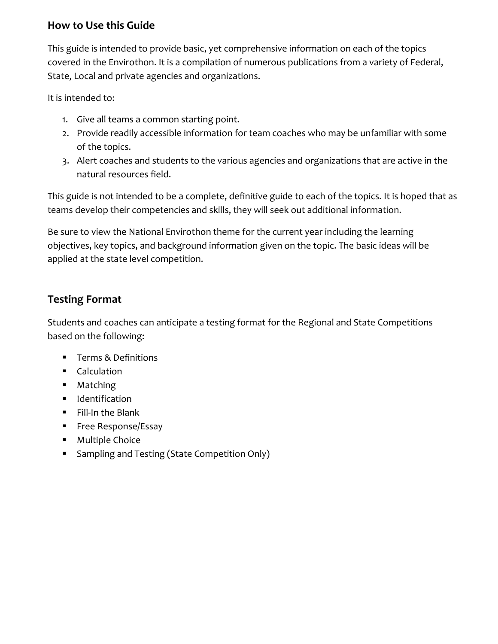#### **How to Use this Guide**

This guide is intended to provide basic, yet comprehensive information on each of the topics covered in the Envirothon. It is a compilation of numerous publications from a variety of Federal, State, Local and private agencies and organizations.

It is intended to:

- 1. Give all teams a common starting point.
- 2. Provide readily accessible information for team coaches who may be unfamiliar with some of the topics.
- 3. Alert coaches and students to the various agencies and organizations that are active in the natural resources field.

This guide is not intended to be a complete, definitive guide to each of the topics. It is hoped that as teams develop their competencies and skills, they will seek out additional information.

Be sure to view the National Envirothon theme for the current year including the learning objectives, key topics, and background information given on the topic. The basic ideas will be applied at the state level competition.

#### **Testing Format**

Students and coaches can anticipate a testing format for the Regional and State Competitions based on the following:

- Terms & Definitions
- **■** Calculation
- Matching
- **■** Identification
- Fill-In the Blank
- **■** Free Response/Essay
- Multiple Choice
- Sampling and Testing (State Competition Only)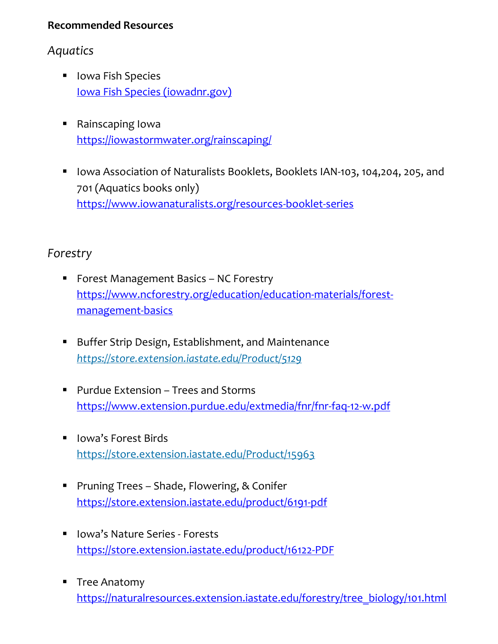#### **Recommended Resources**

### *Aquatics*

- Iowa Fish Species [Iowa Fish Species \(iowadnr.gov\)](https://www.iowadnr.gov/Fishing/Iowa-Fish-Species)
- Rainscaping Iowa <https://iowastormwater.org/rainscaping/>
- Iowa Association of Naturalists Booklets, Booklets IAN-103, 104,204, 205, and 701 (Aquatics books only) <https://www.iowanaturalists.org/resources-booklet-series>

### *Forestry*

- Forest Management Basics NC Forestry [https://www.ncforestry.org/education/education-materials/forest](https://www.ncforestry.org/education/education-materials/forest-management-basics)[management-basics](https://www.ncforestry.org/education/education-materials/forest-management-basics)
- Buffer Strip Design, Establishment, and Maintenance *<https://store.extension.iastate.edu/Product/5129>*
- Purdue Extension Trees and Storms <https://www.extension.purdue.edu/extmedia/fnr/fnr-faq-12-w.pdf>
- Iowa's Forest Birds <https://store.extension.iastate.edu/Product/15963>
- Pruning Trees Shade, Flowering, & Conifer <https://store.extension.iastate.edu/product/6191-pdf>
- Iowa's Nature Series Forests <https://store.extension.iastate.edu/product/16122-PDF>
- Tree Anatomy [https://naturalresources.extension.iastate.edu/forestry/tree\\_biology/101.html](https://naturalresources.extension.iastate.edu/forestry/tree_biology/101.html)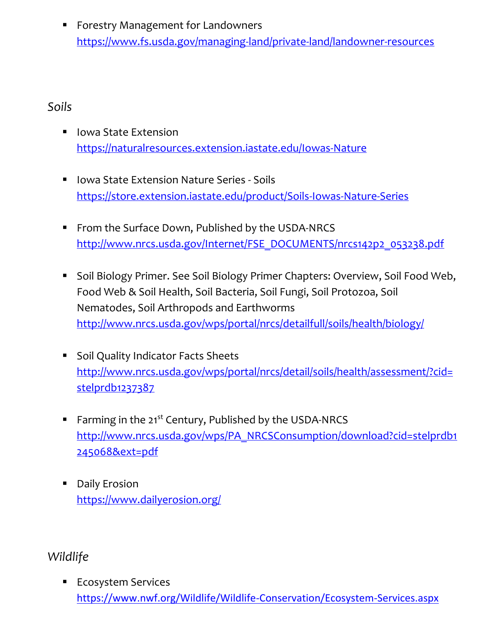■ Forestry Management for Landowners <https://www.fs.usda.gov/managing-land/private-land/landowner-resources>

### *Soils*

- Iowa State Extension <https://naturalresources.extension.iastate.edu/Iowas-Nature>
- Iowa State Extension Nature Series Soils <https://store.extension.iastate.edu/product/Soils-Iowas-Nature-Series>
- From the Surface Down, Published by the USDA-NRCS [http://www.nrcs.usda.gov/Internet/FSE\\_DOCUMENTS/nrcs142p2\\_053238.pdf](http://www.nrcs.usda.gov/Internet/FSE_DOCUMENTS/nrcs142p2_053238.pdf)
- Soil Biology Primer. See Soil Biology Primer Chapters: Overview, Soil Food Web, Food Web & Soil Health, Soil Bacteria, Soil Fungi, Soil Protozoa, Soil Nematodes, Soil Arthropods and Earthworms <http://www.nrcs.usda.gov/wps/portal/nrcs/detailfull/soils/health/biology/>
- Soil Quality Indicator Facts Sheets [http://www.nrcs.usda.gov/wps/portal/nrcs/detail/soils/health/assessment/?cid=](http://www.nrcs.usda.gov/wps/portal/nrcs/detail/soils/health/assessment/?cid=stelprdb1237387) [stelprdb1237387](http://www.nrcs.usda.gov/wps/portal/nrcs/detail/soils/health/assessment/?cid=stelprdb1237387)
- **EXECUTE:** Farming in the 21<sup>st</sup> Century, Published by the USDA-NRCS [http://www.nrcs.usda.gov/wps/PA\\_NRCSConsumption/download?cid=stelprdb1](http://www.nrcs.usda.gov/wps/PA_NRCSConsumption/download?cid=stelprdb1245068&ext=pdf) [245068&ext=pdf](http://www.nrcs.usda.gov/wps/PA_NRCSConsumption/download?cid=stelprdb1245068&ext=pdf)
- Daily Erosion <https://www.dailyerosion.org/>

## *Wildlife*

■ Ecosystem Services <https://www.nwf.org/Wildlife/Wildlife-Conservation/Ecosystem-Services.aspx>